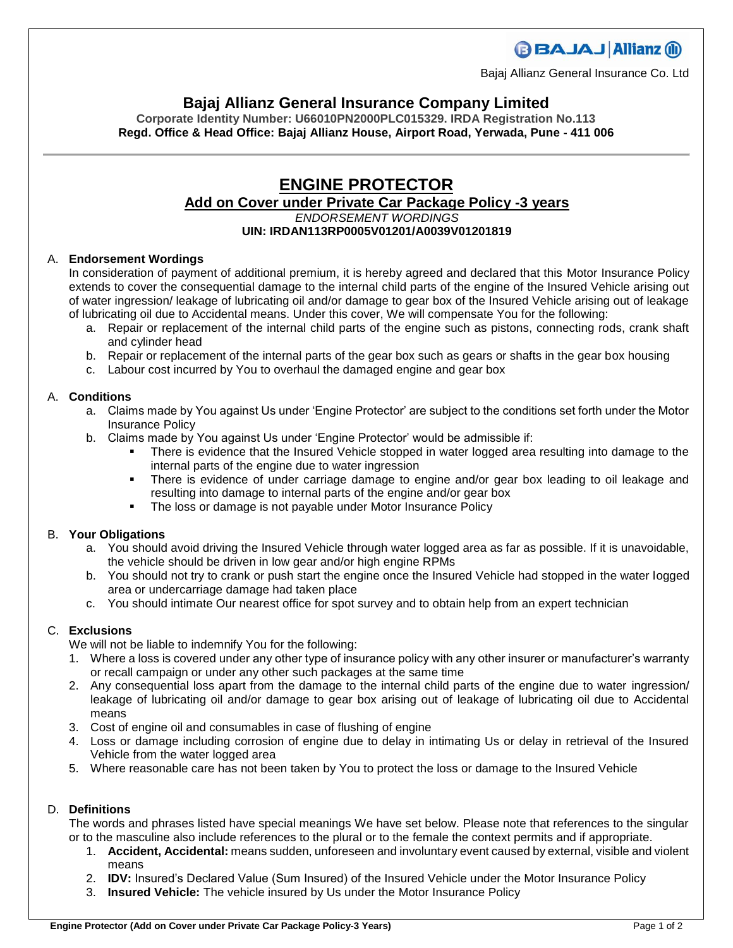# **BBAJAJ Allianz (il)**

Bajaj Allianz General Insurance Co. Ltd

# **Bajaj Allianz General Insurance Company Limited**

**Corporate Identity Number: U66010PN2000PLC015329. IRDA Registration No.113 Regd. Office & Head Office: Bajaj Allianz House, Airport Road, Yerwada, Pune - 411 006**

### **ENGINE PROTECTOR Add on Cover under Private Car Package Policy -3 years** *ENDORSEMENT WORDINGS* **UIN: IRDAN113RP0005V01201/A0039V01201819**

#### A. **Endorsement Wordings**

In consideration of payment of additional premium, it is hereby agreed and declared that this Motor Insurance Policy extends to cover the consequential damage to the internal child parts of the engine of the Insured Vehicle arising out of water ingression/ leakage of lubricating oil and/or damage to gear box of the Insured Vehicle arising out of leakage of lubricating oil due to Accidental means. Under this cover, We will compensate You for the following:

- a. Repair or replacement of the internal child parts of the engine such as pistons, connecting rods, crank shaft and cylinder head
- b. Repair or replacement of the internal parts of the gear box such as gears or shafts in the gear box housing
- c. Labour cost incurred by You to overhaul the damaged engine and gear box

#### A. **Conditions**

- a. Claims made by You against Us under 'Engine Protector' are subject to the conditions set forth under the Motor Insurance Policy
- b. Claims made by You against Us under 'Engine Protector' would be admissible if:
	- There is evidence that the Insured Vehicle stopped in water logged area resulting into damage to the internal parts of the engine due to water ingression
	- There is evidence of under carriage damage to engine and/or gear box leading to oil leakage and resulting into damage to internal parts of the engine and/or gear box
	- The loss or damage is not payable under Motor Insurance Policy

#### B. **Your Obligations**

- a. You should avoid driving the Insured Vehicle through water logged area as far as possible. If it is unavoidable, the vehicle should be driven in low gear and/or high engine RPMs
- b. You should not try to crank or push start the engine once the Insured Vehicle had stopped in the water logged area or undercarriage damage had taken place
- c. You should intimate Our nearest office for spot survey and to obtain help from an expert technician

## C. **Exclusions**

We will not be liable to indemnify You for the following:

- 1. Where a loss is covered under any other type of insurance policy with any other insurer or manufacturer's warranty or recall campaign or under any other such packages at the same time
- 2. Any consequential loss apart from the damage to the internal child parts of the engine due to water ingression/ leakage of lubricating oil and/or damage to gear box arising out of leakage of lubricating oil due to Accidental means
- 3. Cost of engine oil and consumables in case of flushing of engine
- 4. Loss or damage including corrosion of engine due to delay in intimating Us or delay in retrieval of the Insured Vehicle from the water logged area
- 5. Where reasonable care has not been taken by You to protect the loss or damage to the Insured Vehicle

### D. **Definitions**

The words and phrases listed have special meanings We have set below. Please note that references to the singular or to the masculine also include references to the plural or to the female the context permits and if appropriate.

- 1. **Accident, Accidental:** means sudden, unforeseen and involuntary event caused by external, visible and violent means
- 2. **IDV:** Insured's Declared Value (Sum Insured) of the Insured Vehicle under the Motor Insurance Policy
- 3. **Insured Vehicle:** The vehicle insured by Us under the Motor Insurance Policy